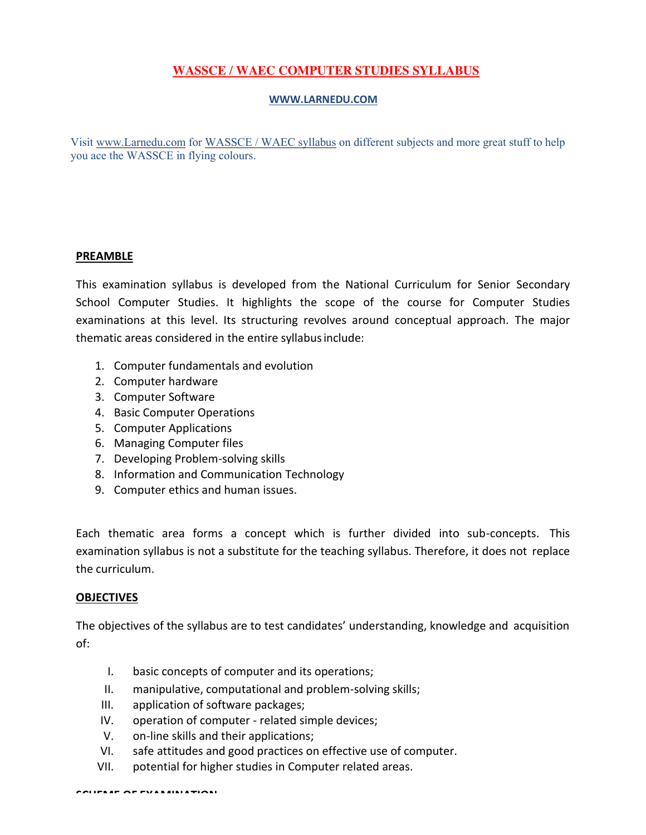## **[WASSCE / WAEC](http://www.larnedu.com/wassce-waec-past-practice-questions/) COMPUTER STUDIES SYLLABUS**

#### **[WWW.LARNEDU.COM](http://www.larnedu.com/)**

Visit [www.Larnedu.com](http://www.larnedu.com/) for [WASSCE / WAEC syllabus](http://www.larnedu.com/wassce-waec-syllabus/) on different subjects and more great stuff to help you ace the WASSCE in flying colours.

### **PREAMBLE**

This examination syllabus is developed from the National Curriculum for Senior Secondary School Computer Studies. It highlights the scope of the course for Computer Studies examinations at this level. Its structuring revolves around conceptual approach. The major thematic areas considered in the entire syllabusinclude:

- 1. Computer fundamentals and evolution
- 2. Computer hardware
- 3. Computer Software
- 4. Basic Computer Operations
- 5. Computer Applications
- 6. Managing Computer files
- 7. Developing Problem-solving skills
- 8. Information and Communication Technology
- 9. Computer ethics and human issues.

Each thematic area forms a concept which is further divided into sub-concepts. This examination syllabus is not a substitute for the teaching syllabus. Therefore, it does not replace the curriculum.

### **OBJECTIVES**

The objectives of the syllabus are to test candidates' understanding, knowledge and acquisition of:

- I. basic concepts of computer and its operations;
- II. manipulative, computational and problem-solving skills;
- III. application of software packages;
- IV. operation of computer related simple devices;
- V. on-line skills and their applications;
- VI. safe attitudes and good practices on effective use of computer.
- VII. potential for higher studies in Computer related areas.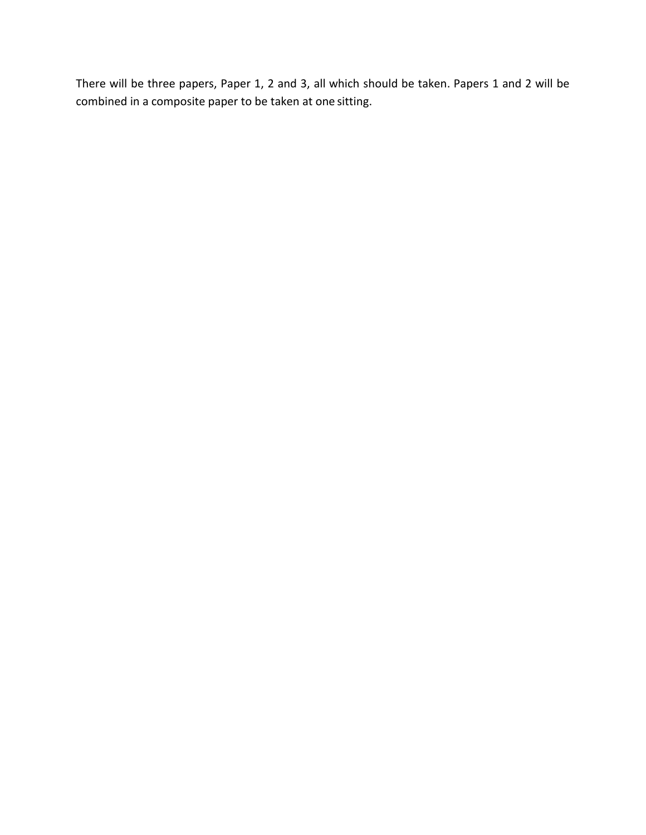There will be three papers, Paper 1, 2 and 3, all which should be taken. Papers 1 and 2 will be combined in a composite paper to be taken at one sitting.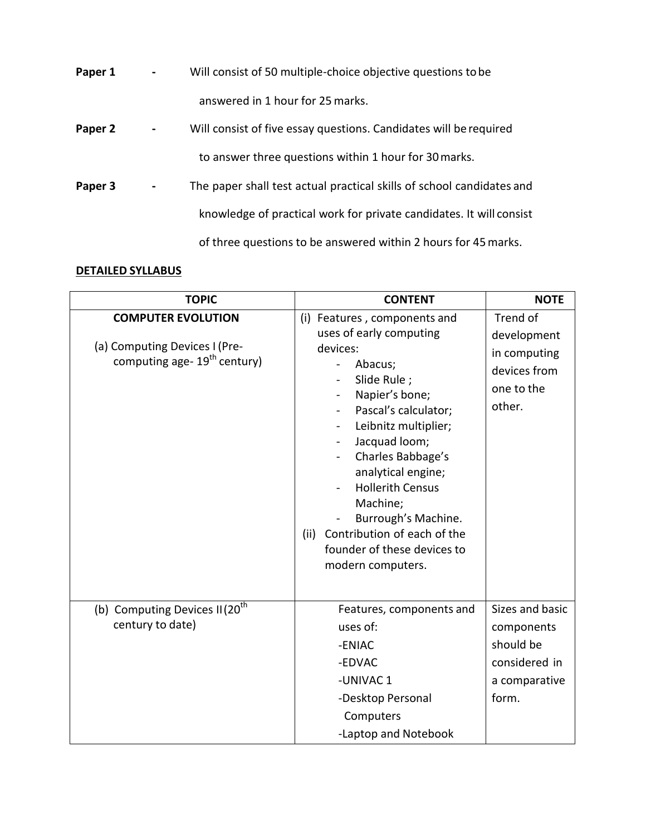| Paper 1 | Will consist of 50 multiple-choice objective questions to be          |
|---------|-----------------------------------------------------------------------|
|         | answered in 1 hour for 25 marks.                                      |
| Paper 2 | Will consist of five essay questions. Candidates will be required     |
|         | to answer three questions within 1 hour for 30 marks.                 |
| Paper 3 | The paper shall test actual practical skills of school candidates and |
|         | knowledge of practical work for private candidates. It will consist   |
|         | of three questions to be answered within 2 hours for 45 marks.        |

# **DETAILED [SYLLABUS](http://www.larnedu.com/wassce-waec-syllabus/)**

| <b>TOPIC</b>                                                                                           | <b>CONTENT</b>                                                                                                                                                                                                                                                                                                                                                                                                           | <b>NOTE</b>                                                                           |
|--------------------------------------------------------------------------------------------------------|--------------------------------------------------------------------------------------------------------------------------------------------------------------------------------------------------------------------------------------------------------------------------------------------------------------------------------------------------------------------------------------------------------------------------|---------------------------------------------------------------------------------------|
| <b>COMPUTER EVOLUTION</b><br>(a) Computing Devices I (Pre-<br>computing age- 19 <sup>th</sup> century) | (i) Features, components and<br>uses of early computing<br>devices:<br>Abacus;<br>$\blacksquare$<br>Slide Rule;<br>Napier's bone;<br>Pascal's calculator;<br>Leibnitz multiplier;<br>Jacquad loom;<br>$\blacksquare$<br>Charles Babbage's<br>analytical engine;<br><b>Hollerith Census</b><br>Machine;<br>Burrough's Machine.<br>Contribution of each of the<br>(ii)<br>founder of these devices to<br>modern computers. | Trend of<br>development<br>in computing<br>devices from<br>one to the<br>other.       |
| (b) Computing Devices II (20 <sup>th</sup><br>century to date)                                         | Features, components and<br>uses of:<br>-ENIAC<br>-EDVAC<br>-UNIVAC 1<br>-Desktop Personal<br>Computers<br>-Laptop and Notebook                                                                                                                                                                                                                                                                                          | Sizes and basic<br>components<br>should be<br>considered in<br>a comparative<br>form. |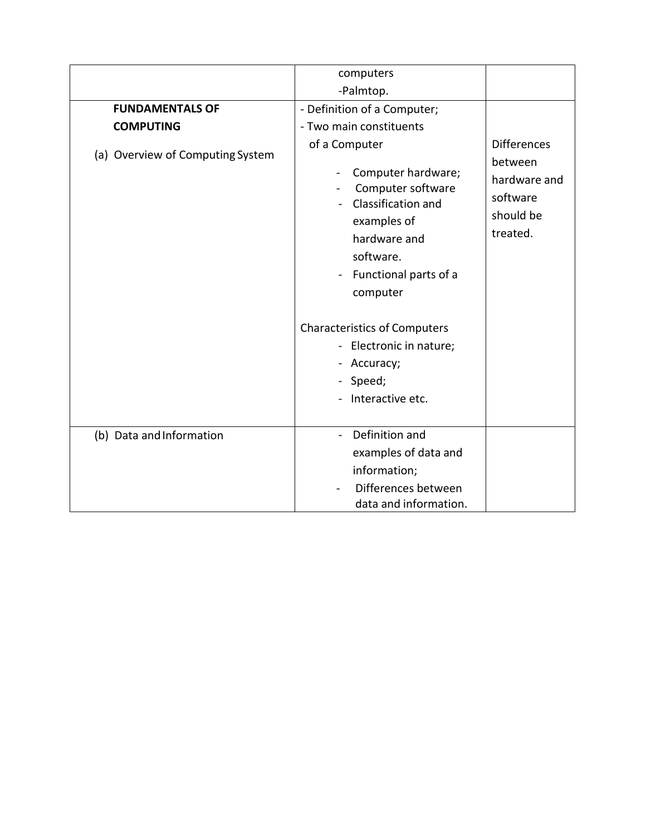|                                  | computers                                                                                                                                                                               |                                                                                    |
|----------------------------------|-----------------------------------------------------------------------------------------------------------------------------------------------------------------------------------------|------------------------------------------------------------------------------------|
|                                  | -Palmtop.                                                                                                                                                                               |                                                                                    |
|                                  |                                                                                                                                                                                         |                                                                                    |
| <b>FUNDAMENTALS OF</b>           | - Definition of a Computer;                                                                                                                                                             |                                                                                    |
| <b>COMPUTING</b>                 | - Two main constituents                                                                                                                                                                 |                                                                                    |
| (a) Overview of Computing System | of a Computer<br>Computer hardware;<br>$\ddot{\phantom{0}}$<br>Computer software<br>Classification and<br>examples of<br>hardware and<br>software.<br>Functional parts of a<br>computer | <b>Differences</b><br>between<br>hardware and<br>software<br>should be<br>treated. |
|                                  | <b>Characteristics of Computers</b><br>- Electronic in nature;<br>Accuracy;<br>- Speed;<br>Interactive etc.                                                                             |                                                                                    |
| (b) Data and Information         | Definition and<br>examples of data and<br>information;<br>Differences between<br>data and information.                                                                                  |                                                                                    |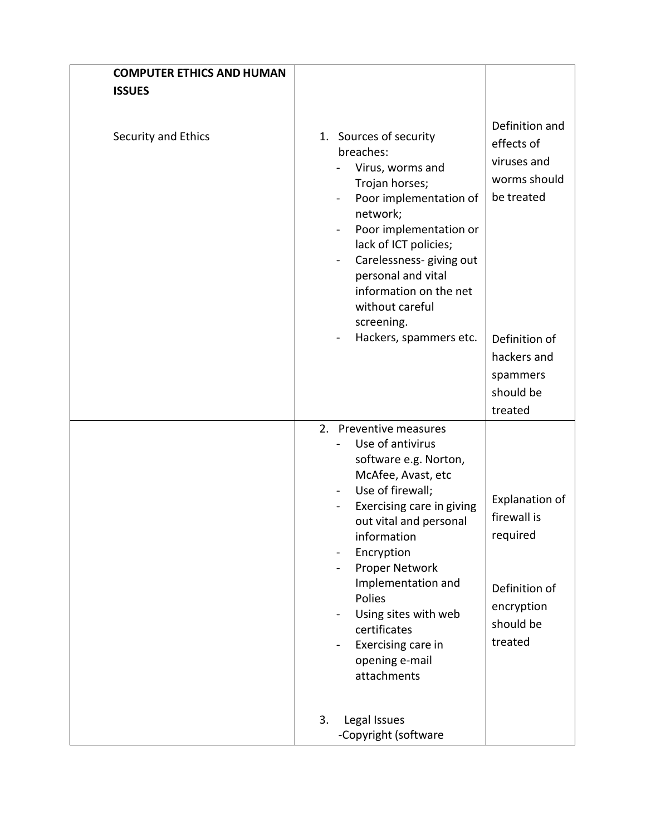| <b>COMPUTER ETHICS AND HUMAN</b> |                                                                                                                                                                                                                                                                                                                                                                                                                                                                                                                            |
|----------------------------------|----------------------------------------------------------------------------------------------------------------------------------------------------------------------------------------------------------------------------------------------------------------------------------------------------------------------------------------------------------------------------------------------------------------------------------------------------------------------------------------------------------------------------|
| <b>ISSUES</b>                    |                                                                                                                                                                                                                                                                                                                                                                                                                                                                                                                            |
| Security and Ethics              | Definition and<br>1. Sources of security<br>effects of<br>breaches:<br>viruses and<br>Virus, worms and<br>worms should<br>Trojan horses;<br>be treated<br>Poor implementation of<br>network;<br>Poor implementation or<br>lack of ICT policies;<br>Carelessness- giving out<br>$\frac{1}{2}$<br>personal and vital<br>information on the net<br>without careful<br>screening.                                                                                                                                              |
|                                  | Hackers, spammers etc.<br>Definition of<br>hackers and<br>spammers<br>should be<br>treated                                                                                                                                                                                                                                                                                                                                                                                                                                 |
|                                  | 2. Preventive measures<br>Use of antivirus<br>÷.<br>software e.g. Norton,<br>McAfee, Avast, etc<br>Use of firewall;<br>$\blacksquare$<br><b>Explanation of</b><br>Exercising care in giving<br>۰<br>firewall is<br>out vital and personal<br>required<br>information<br>Encryption<br>Proper Network<br>Implementation and<br>Definition of<br>Polies<br>encryption<br>Using sites with web<br>$\qquad \qquad \blacksquare$<br>should be<br>certificates<br>treated<br>Exercising care in<br>opening e-mail<br>attachments |
|                                  | 3.<br>Legal Issues<br>-Copyright (software                                                                                                                                                                                                                                                                                                                                                                                                                                                                                 |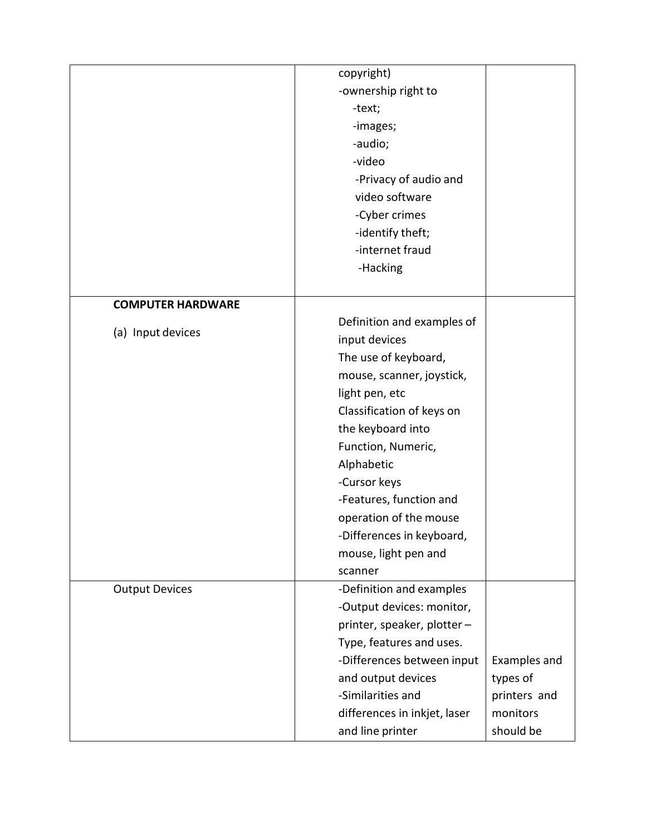|                          | copyright)                   |              |
|--------------------------|------------------------------|--------------|
|                          | -ownership right to          |              |
|                          | -text;                       |              |
|                          | -images;                     |              |
|                          | -audio;                      |              |
|                          | -video                       |              |
|                          | -Privacy of audio and        |              |
|                          | video software               |              |
|                          | -Cyber crimes                |              |
|                          | -identify theft;             |              |
|                          | -internet fraud              |              |
|                          | -Hacking                     |              |
|                          |                              |              |
| <b>COMPUTER HARDWARE</b> |                              |              |
|                          | Definition and examples of   |              |
| (a) Input devices        | input devices                |              |
|                          | The use of keyboard,         |              |
|                          | mouse, scanner, joystick,    |              |
|                          | light pen, etc               |              |
|                          | Classification of keys on    |              |
|                          | the keyboard into            |              |
|                          | Function, Numeric,           |              |
|                          | Alphabetic                   |              |
|                          | -Cursor keys                 |              |
|                          | -Features, function and      |              |
|                          | operation of the mouse       |              |
|                          | -Differences in keyboard,    |              |
|                          | mouse, light pen and         |              |
|                          | scanner                      |              |
| <b>Output Devices</b>    | -Definition and examples     |              |
|                          | -Output devices: monitor,    |              |
|                          | printer, speaker, plotter -  |              |
|                          | Type, features and uses.     |              |
|                          | -Differences between input   | Examples and |
|                          | and output devices           | types of     |
|                          | -Similarities and            | printers and |
|                          | differences in inkjet, laser | monitors     |
|                          |                              |              |
|                          | and line printer             | should be    |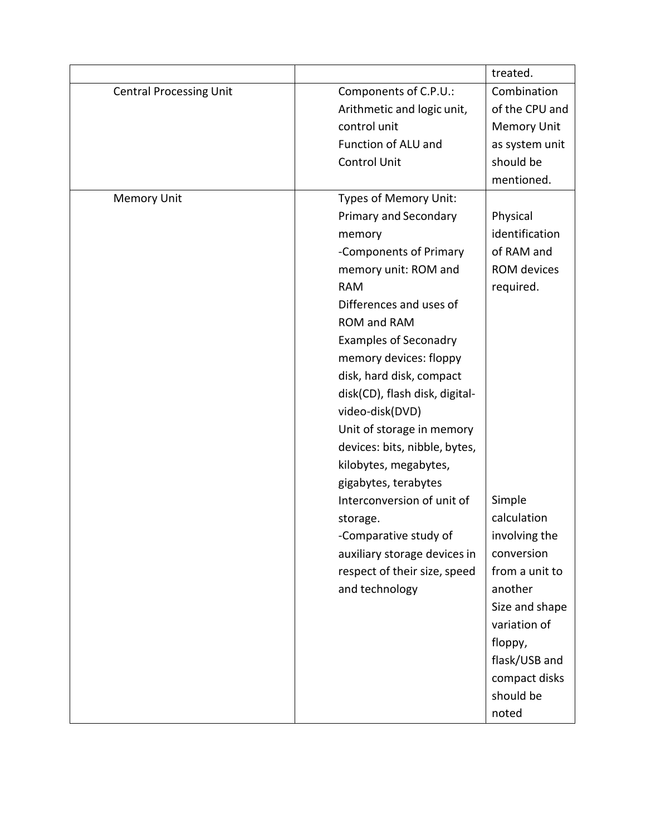|                                |                                | treated.           |
|--------------------------------|--------------------------------|--------------------|
| <b>Central Processing Unit</b> | Components of C.P.U.:          | Combination        |
|                                | Arithmetic and logic unit,     | of the CPU and     |
|                                | control unit                   | <b>Memory Unit</b> |
|                                | Function of ALU and            | as system unit     |
|                                | <b>Control Unit</b>            | should be          |
|                                |                                | mentioned.         |
| <b>Memory Unit</b>             | Types of Memory Unit:          |                    |
|                                | Primary and Secondary          | Physical           |
|                                | memory                         | identification     |
|                                | -Components of Primary         | of RAM and         |
|                                | memory unit: ROM and           | ROM devices        |
|                                | <b>RAM</b>                     | required.          |
|                                | Differences and uses of        |                    |
|                                | <b>ROM and RAM</b>             |                    |
|                                | <b>Examples of Seconadry</b>   |                    |
|                                | memory devices: floppy         |                    |
|                                | disk, hard disk, compact       |                    |
|                                | disk(CD), flash disk, digital- |                    |
|                                | video-disk(DVD)                |                    |
|                                | Unit of storage in memory      |                    |
|                                | devices: bits, nibble, bytes,  |                    |
|                                | kilobytes, megabytes,          |                    |
|                                | gigabytes, terabytes           |                    |
|                                | Interconversion of unit of     | Simple             |
|                                | storage.                       | calculation        |
|                                | -Comparative study of          | involving the      |
|                                | auxiliary storage devices in   | conversion         |
|                                | respect of their size, speed   | from a unit to     |
|                                | and technology                 | another            |
|                                |                                | Size and shape     |
|                                |                                | variation of       |
|                                |                                | floppy,            |
|                                |                                | flask/USB and      |
|                                |                                | compact disks      |
|                                |                                | should be          |
|                                |                                | noted              |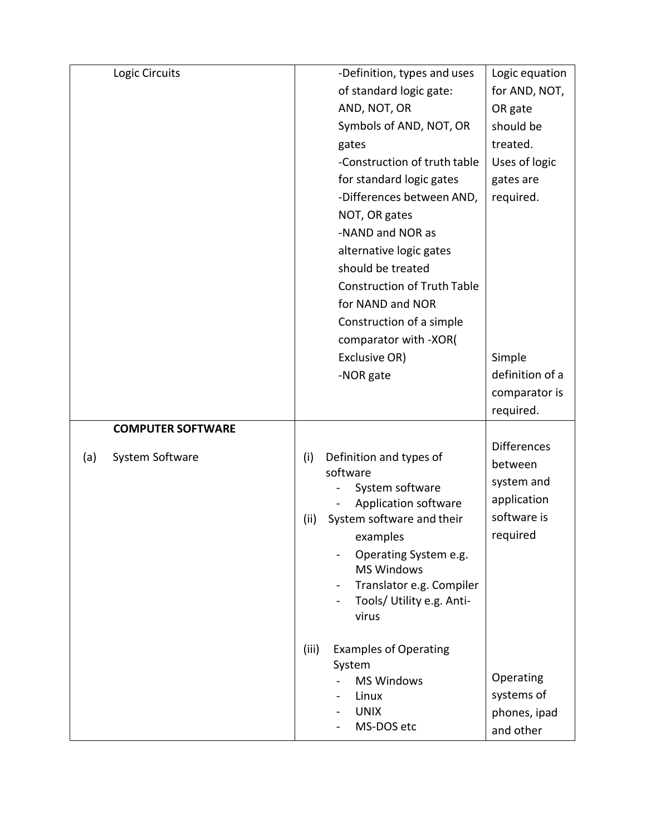| Logic Circuits           | -Definition, types and uses                                                                                                                                  | Logic equation                                      |
|--------------------------|--------------------------------------------------------------------------------------------------------------------------------------------------------------|-----------------------------------------------------|
|                          | of standard logic gate:                                                                                                                                      | for AND, NOT,                                       |
|                          | AND, NOT, OR                                                                                                                                                 | OR gate                                             |
|                          | Symbols of AND, NOT, OR                                                                                                                                      | should be                                           |
|                          | gates                                                                                                                                                        | treated.                                            |
|                          | -Construction of truth table                                                                                                                                 | Uses of logic                                       |
|                          | for standard logic gates                                                                                                                                     | gates are                                           |
|                          | -Differences between AND,                                                                                                                                    | required.                                           |
|                          | NOT, OR gates                                                                                                                                                |                                                     |
|                          | -NAND and NOR as                                                                                                                                             |                                                     |
|                          | alternative logic gates                                                                                                                                      |                                                     |
|                          | should be treated                                                                                                                                            |                                                     |
|                          | <b>Construction of Truth Table</b>                                                                                                                           |                                                     |
|                          | for NAND and NOR                                                                                                                                             |                                                     |
|                          | Construction of a simple                                                                                                                                     |                                                     |
|                          | comparator with -XOR(                                                                                                                                        |                                                     |
|                          | Exclusive OR)                                                                                                                                                | Simple                                              |
|                          | -NOR gate                                                                                                                                                    | definition of a                                     |
|                          |                                                                                                                                                              | comparator is                                       |
|                          |                                                                                                                                                              | required.                                           |
| <b>COMPUTER SOFTWARE</b> |                                                                                                                                                              |                                                     |
| System Software<br>(a)   | (i)<br>Definition and types of                                                                                                                               | <b>Differences</b>                                  |
|                          | software                                                                                                                                                     | between                                             |
|                          | System software                                                                                                                                              | system and                                          |
|                          | Application software                                                                                                                                         | application                                         |
|                          | System software and their<br>(ii)                                                                                                                            | software is                                         |
|                          |                                                                                                                                                              |                                                     |
|                          |                                                                                                                                                              |                                                     |
|                          |                                                                                                                                                              |                                                     |
|                          | $\blacksquare$                                                                                                                                               |                                                     |
|                          | virus                                                                                                                                                        |                                                     |
|                          |                                                                                                                                                              |                                                     |
|                          | (iii)<br><b>Examples of Operating</b>                                                                                                                        |                                                     |
|                          | System                                                                                                                                                       |                                                     |
|                          |                                                                                                                                                              |                                                     |
|                          |                                                                                                                                                              |                                                     |
|                          | MS-DOS etc                                                                                                                                                   |                                                     |
|                          | examples<br>Operating System e.g.<br><b>MS Windows</b><br>Translator e.g. Compiler<br>Tools/ Utility e.g. Anti-<br><b>MS Windows</b><br>Linux<br><b>UNIX</b> | required<br>Operating<br>systems of<br>phones, ipad |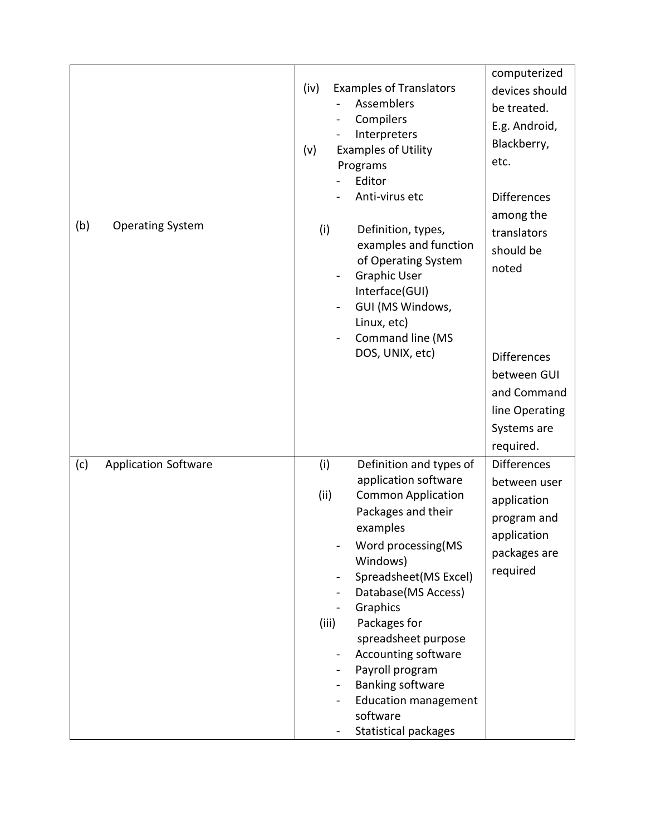|                                    |                                                                                                                                                                                                                                                                                                                                                                                                                                            | computerized                                                                                                                        |
|------------------------------------|--------------------------------------------------------------------------------------------------------------------------------------------------------------------------------------------------------------------------------------------------------------------------------------------------------------------------------------------------------------------------------------------------------------------------------------------|-------------------------------------------------------------------------------------------------------------------------------------|
|                                    | (iv)<br><b>Examples of Translators</b><br>Assemblers<br>Compilers<br>Interpreters<br><b>Examples of Utility</b><br>(v)<br>Programs<br>Editor<br>Anti-virus etc                                                                                                                                                                                                                                                                             | devices should<br>be treated.<br>E.g. Android,<br>Blackberry,<br>etc.<br><b>Differences</b><br>among the                            |
| (b)<br><b>Operating System</b>     | (i)<br>Definition, types,<br>examples and function<br>of Operating System<br><b>Graphic User</b><br>-<br>Interface(GUI)<br>GUI (MS Windows,<br>Linux, etc)<br>Command line (MS<br>DOS, UNIX, etc)                                                                                                                                                                                                                                          | translators<br>should be<br>noted<br><b>Differences</b><br>between GUI<br>and Command<br>line Operating<br>Systems are<br>required. |
| <b>Application Software</b><br>(c) | (i)<br>Definition and types of<br>application software<br>(ii)<br><b>Common Application</b><br>Packages and their<br>examples<br>Word processing(MS<br>Windows)<br>Spreadsheet(MS Excel)<br>-<br>Database(MS Access)<br>Graphics<br>Packages for<br>(iii)<br>spreadsheet purpose<br>Accounting software<br>Payroll program<br>$\blacksquare$<br><b>Banking software</b><br><b>Education management</b><br>software<br>Statistical packages | <b>Differences</b><br>between user<br>application<br>program and<br>application<br>packages are<br>required                         |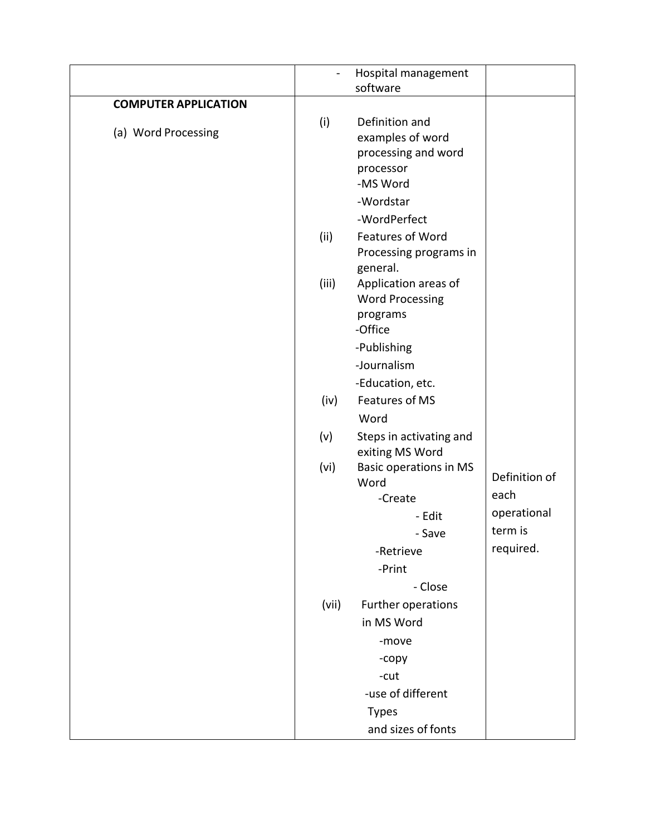|                             |       | Hospital management<br>software                                                                                         |               |
|-----------------------------|-------|-------------------------------------------------------------------------------------------------------------------------|---------------|
| <b>COMPUTER APPLICATION</b> |       |                                                                                                                         |               |
| (a) Word Processing         | (i)   | Definition and<br>examples of word<br>processing and word<br>processor<br>-MS Word<br>-Wordstar<br>-WordPerfect         |               |
|                             | (ii)  | Features of Word<br>Processing programs in<br>general.                                                                  |               |
|                             | (iii) | Application areas of<br><b>Word Processing</b><br>programs<br>-Office<br>-Publishing<br>-Journalism<br>-Education, etc. |               |
|                             | (iv)  | Features of MS                                                                                                          |               |
|                             |       | Word                                                                                                                    |               |
|                             | (v)   | Steps in activating and<br>exiting MS Word                                                                              |               |
|                             | (vi)  | Basic operations in MS                                                                                                  | Definition of |
|                             |       | Word<br>-Create                                                                                                         | each          |
|                             |       | - Edit                                                                                                                  | operational   |
|                             |       | Save                                                                                                                    | term is       |
|                             |       | -Retrieve                                                                                                               | required.     |
|                             |       | -Print                                                                                                                  |               |
|                             |       | - Close                                                                                                                 |               |
|                             | (vii) | Further operations                                                                                                      |               |
|                             |       | in MS Word                                                                                                              |               |
|                             |       | -move                                                                                                                   |               |
|                             |       | -copy                                                                                                                   |               |
|                             |       | -cut                                                                                                                    |               |
|                             |       | -use of different                                                                                                       |               |
|                             |       | <b>Types</b>                                                                                                            |               |
|                             |       | and sizes of fonts                                                                                                      |               |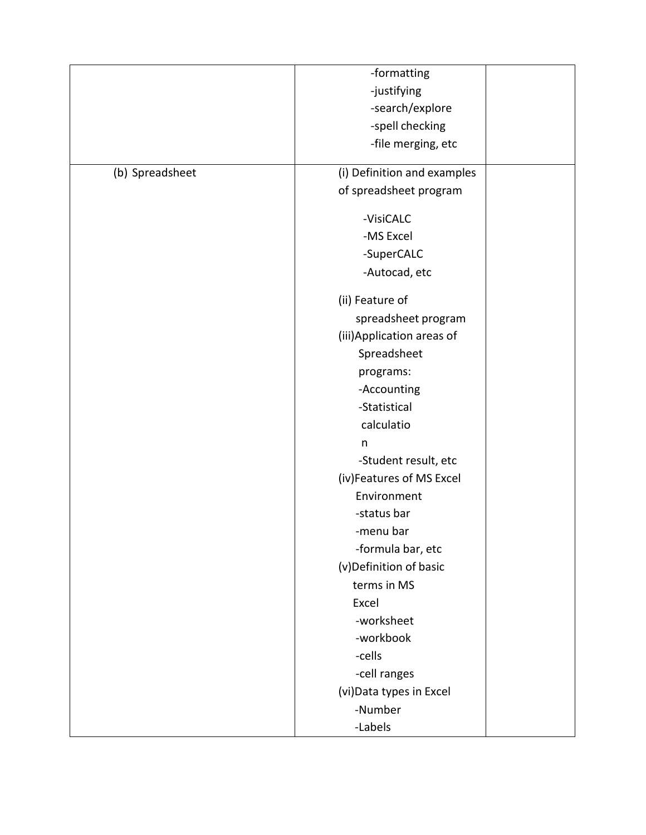|                 | -formatting                 |  |
|-----------------|-----------------------------|--|
|                 | -justifying                 |  |
|                 | -search/explore             |  |
|                 | -spell checking             |  |
|                 |                             |  |
|                 | -file merging, etc          |  |
| (b) Spreadsheet | (i) Definition and examples |  |
|                 | of spreadsheet program      |  |
|                 | -VisiCALC                   |  |
|                 | -MS Excel                   |  |
|                 | -SuperCALC                  |  |
|                 | -Autocad, etc               |  |
|                 | (ii) Feature of             |  |
|                 | spreadsheet program         |  |
|                 | (iii) Application areas of  |  |
|                 | Spreadsheet                 |  |
|                 | programs:                   |  |
|                 | -Accounting                 |  |
|                 | -Statistical                |  |
|                 | calculatio                  |  |
|                 | n                           |  |
|                 | -Student result, etc        |  |
|                 | (iv)Features of MS Excel    |  |
|                 | Environment                 |  |
|                 | -status bar                 |  |
|                 | -menu bar                   |  |
|                 | -formula bar, etc           |  |
|                 | (v)Definition of basic      |  |
|                 | terms in MS                 |  |
|                 | Excel                       |  |
|                 | -worksheet                  |  |
|                 | -workbook                   |  |
|                 | -cells                      |  |
|                 | -cell ranges                |  |
|                 | (vi) Data types in Excel    |  |
|                 | -Number                     |  |
|                 | -Labels                     |  |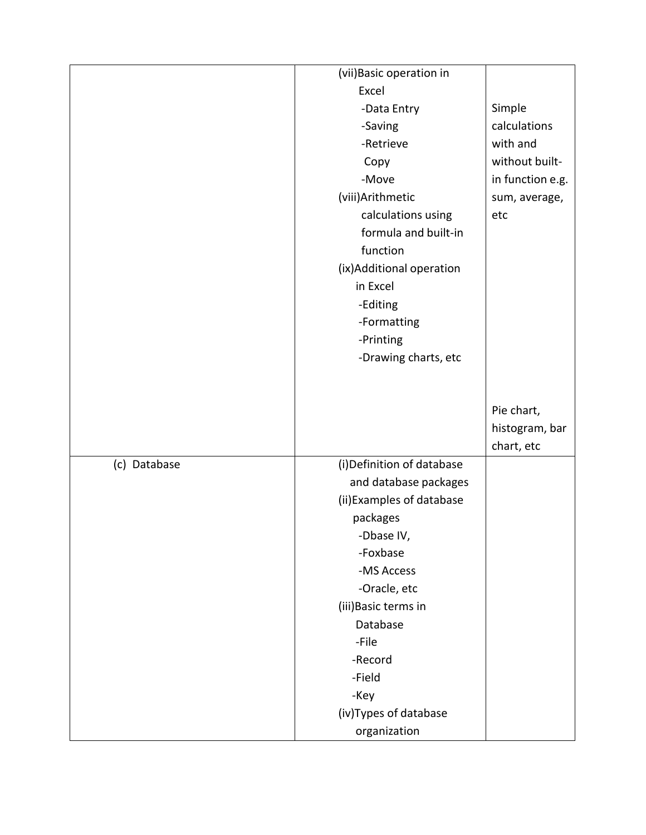|              | (vii) Basic operation in               |                  |
|--------------|----------------------------------------|------------------|
|              | Excel                                  |                  |
|              | -Data Entry                            | Simple           |
|              | -Saving                                | calculations     |
|              | -Retrieve                              | with and         |
|              | Copy                                   | without built-   |
|              | -Move                                  | in function e.g. |
|              | (viii) Arithmetic                      | sum, average,    |
|              | calculations using                     | etc              |
|              | formula and built-in                   |                  |
|              | function                               |                  |
|              | (ix) Additional operation              |                  |
|              | in Excel                               |                  |
|              | -Editing                               |                  |
|              | -Formatting                            |                  |
|              | -Printing                              |                  |
|              | -Drawing charts, etc                   |                  |
|              |                                        |                  |
|              |                                        |                  |
|              |                                        | Pie chart,       |
|              |                                        | histogram, bar   |
|              |                                        |                  |
|              |                                        | chart, etc       |
| (c) Database | (i) Definition of database             |                  |
|              | and database packages                  |                  |
|              | (ii) Examples of database              |                  |
|              | packages                               |                  |
|              | -Dbase IV,                             |                  |
|              | -Foxbase                               |                  |
|              | -MS Access                             |                  |
|              | -Oracle, etc                           |                  |
|              | (iii) Basic terms in                   |                  |
|              | Database                               |                  |
|              | -File                                  |                  |
|              | -Record                                |                  |
|              | -Field                                 |                  |
|              | -Key                                   |                  |
|              | (iv) Types of database<br>organization |                  |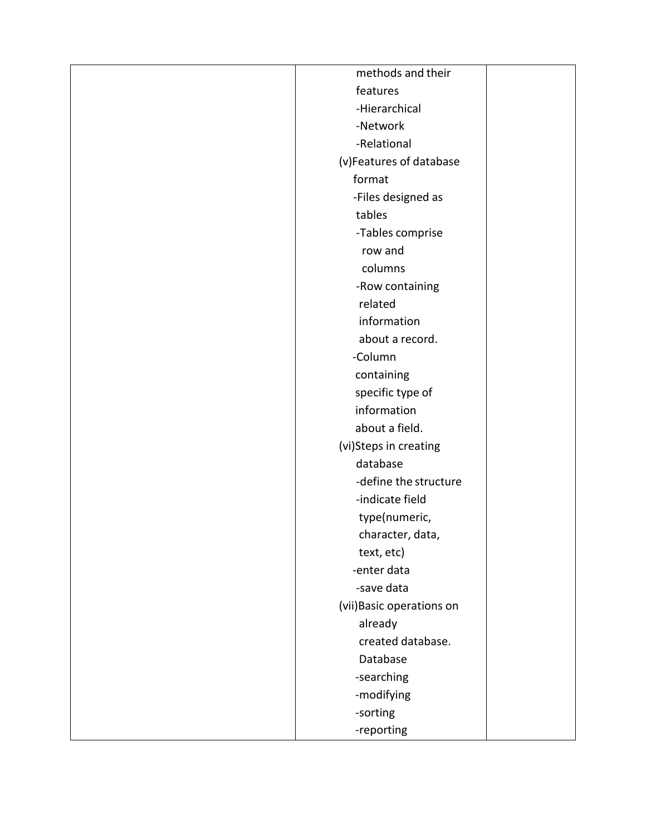| methods and their         |  |
|---------------------------|--|
| features                  |  |
| -Hierarchical             |  |
| -Network                  |  |
| -Relational               |  |
| (v)Features of database   |  |
| format                    |  |
| -Files designed as        |  |
| tables                    |  |
| -Tables comprise          |  |
| row and                   |  |
| columns                   |  |
| -Row containing           |  |
| related                   |  |
| information               |  |
| about a record.           |  |
| -Column                   |  |
| containing                |  |
| specific type of          |  |
| information               |  |
| about a field.            |  |
| (vi)Steps in creating     |  |
| database                  |  |
| -define the structure     |  |
| -indicate field           |  |
| type(numeric,             |  |
| character, data,          |  |
| text, etc)                |  |
| -enter data               |  |
| -save data                |  |
| (vii) Basic operations on |  |
| already                   |  |
| created database.         |  |
| Database                  |  |
| -searching                |  |
| -modifying                |  |
| -sorting                  |  |
| -reporting                |  |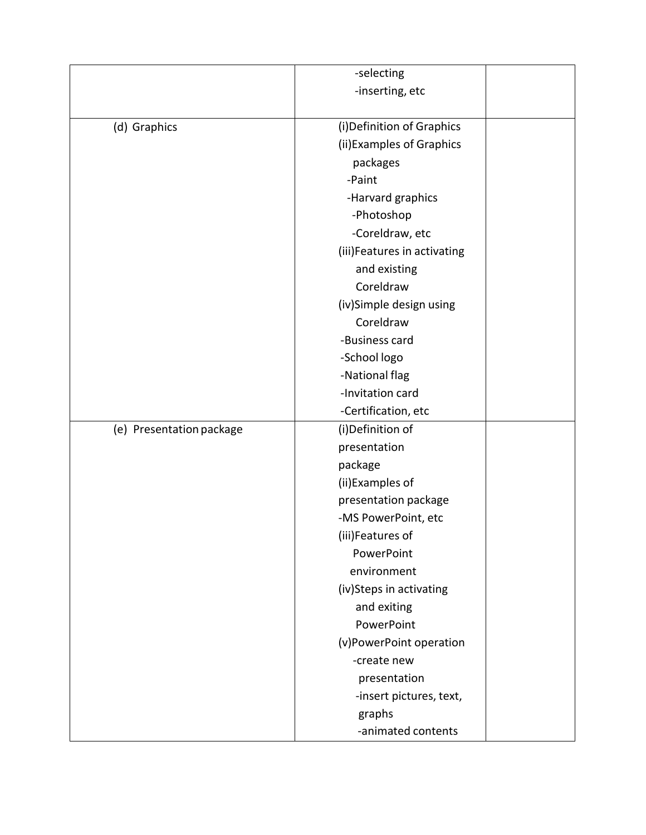|                          | -selecting                  |  |
|--------------------------|-----------------------------|--|
|                          | -inserting, etc             |  |
|                          |                             |  |
| (d) Graphics             | (i) Definition of Graphics  |  |
|                          | (ii) Examples of Graphics   |  |
|                          | packages                    |  |
|                          | -Paint                      |  |
|                          | -Harvard graphics           |  |
|                          | -Photoshop                  |  |
|                          | -Coreldraw, etc             |  |
|                          | (iii)Features in activating |  |
|                          | and existing                |  |
|                          | Coreldraw                   |  |
|                          | (iv)Simple design using     |  |
|                          | Coreldraw                   |  |
|                          | -Business card              |  |
|                          | -School logo                |  |
|                          | -National flag              |  |
|                          | -Invitation card            |  |
|                          | -Certification, etc         |  |
| (e) Presentation package | (i)Definition of            |  |
|                          | presentation                |  |
|                          | package                     |  |
|                          | (ii) Examples of            |  |
|                          | presentation package        |  |
|                          | -MS PowerPoint, etc         |  |
|                          | (iii)Features of            |  |
|                          | PowerPoint                  |  |
|                          | environment                 |  |
|                          | (iv)Steps in activating     |  |
|                          | and exiting                 |  |
|                          | PowerPoint                  |  |
|                          | (v)PowerPoint operation     |  |
|                          | -create new                 |  |
|                          | presentation                |  |
|                          | -insert pictures, text,     |  |
|                          | graphs                      |  |
|                          | -animated contents          |  |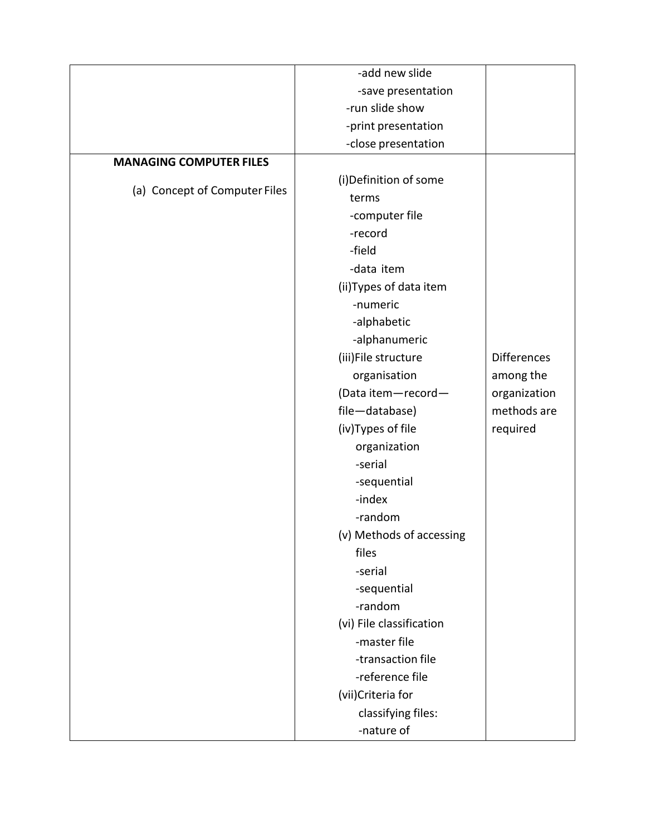|                                | -add new slide           |                    |
|--------------------------------|--------------------------|--------------------|
|                                | -save presentation       |                    |
|                                | -run slide show          |                    |
|                                | -print presentation      |                    |
|                                | -close presentation      |                    |
| <b>MANAGING COMPUTER FILES</b> |                          |                    |
|                                | (i) Definition of some   |                    |
| (a) Concept of Computer Files  | terms                    |                    |
|                                | -computer file           |                    |
|                                | -record                  |                    |
|                                | -field                   |                    |
|                                | -data item               |                    |
|                                | (ii) Types of data item  |                    |
|                                | -numeric                 |                    |
|                                | -alphabetic              |                    |
|                                | -alphanumeric            |                    |
|                                | (iii)File structure      | <b>Differences</b> |
|                                | organisation             | among the          |
|                                | (Data item-record-       | organization       |
|                                | file-database)           | methods are        |
|                                | (iv) Types of file       | required           |
|                                | organization             |                    |
|                                | -serial                  |                    |
|                                | -sequential              |                    |
|                                | -index                   |                    |
|                                | -random                  |                    |
|                                | (v) Methods of accessing |                    |
|                                | files                    |                    |
|                                | -serial                  |                    |
|                                | -sequential              |                    |
|                                | -random                  |                    |
|                                | (vi) File classification |                    |
|                                | -master file             |                    |
|                                | -transaction file        |                    |
|                                | -reference file          |                    |
|                                | (vii)Criteria for        |                    |
|                                | classifying files:       |                    |
|                                | -nature of               |                    |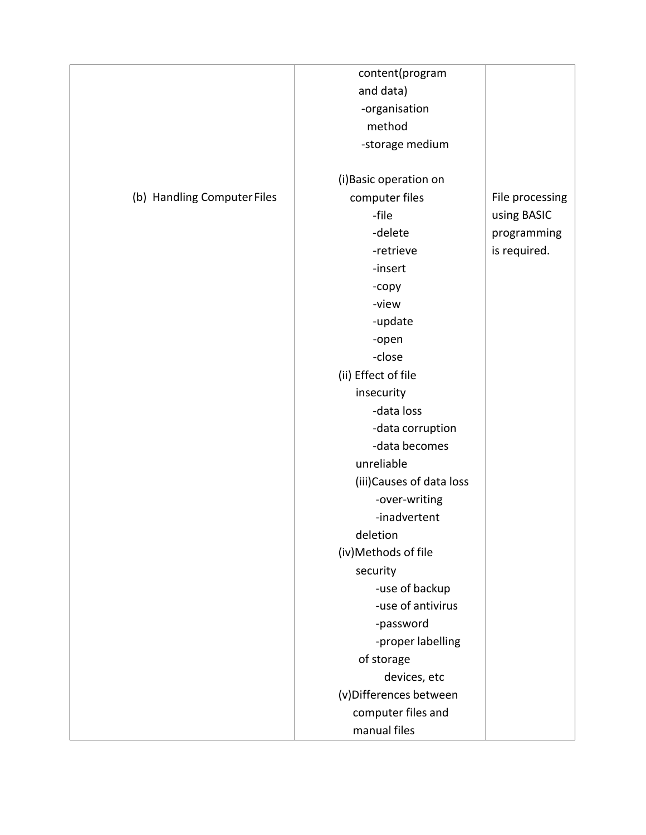|                             | content(program           |                 |
|-----------------------------|---------------------------|-----------------|
|                             | and data)                 |                 |
|                             | -organisation             |                 |
|                             | method                    |                 |
|                             | -storage medium           |                 |
|                             |                           |                 |
|                             | (i) Basic operation on    |                 |
| (b) Handling Computer Files | computer files            | File processing |
|                             | -file                     | using BASIC     |
|                             | -delete                   | programming     |
|                             | -retrieve                 | is required.    |
|                             | -insert                   |                 |
|                             | -copy                     |                 |
|                             | -view                     |                 |
|                             | -update                   |                 |
|                             | -open                     |                 |
|                             | -close                    |                 |
|                             | (ii) Effect of file       |                 |
|                             | insecurity                |                 |
|                             | -data loss                |                 |
|                             | -data corruption          |                 |
|                             | -data becomes             |                 |
|                             | unreliable                |                 |
|                             | (iii) Causes of data loss |                 |
|                             | -over-writing             |                 |
|                             | -inadvertent              |                 |
|                             | deletion                  |                 |
|                             | (iv)Methods of file       |                 |
|                             | security                  |                 |
|                             | -use of backup            |                 |
|                             | -use of antivirus         |                 |
|                             | -password                 |                 |
|                             | -proper labelling         |                 |
|                             | of storage                |                 |
|                             | devices, etc              |                 |
|                             | (v) Differences between   |                 |
|                             | computer files and        |                 |
|                             | manual files              |                 |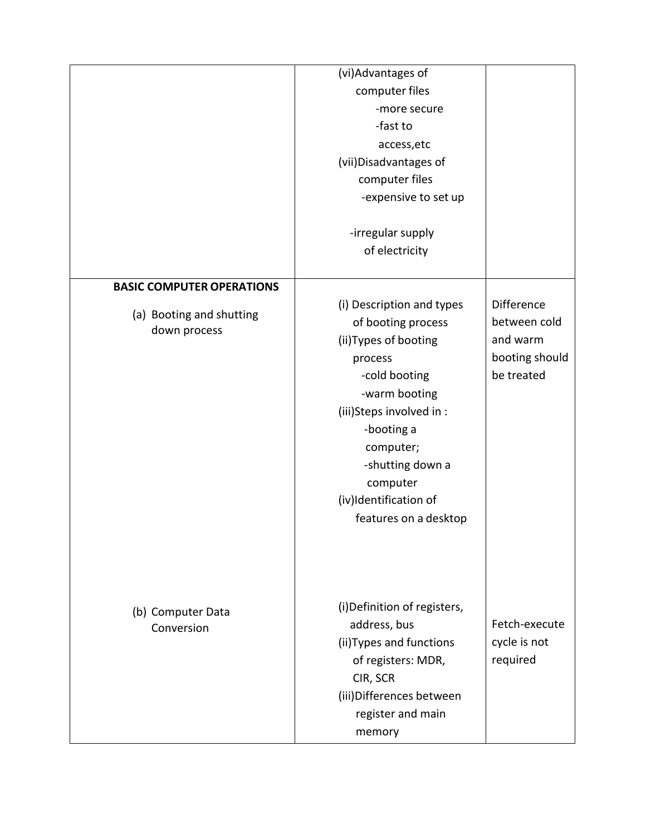|                                  | (vi)Advantages of            |                   |
|----------------------------------|------------------------------|-------------------|
|                                  | computer files               |                   |
|                                  | -more secure                 |                   |
|                                  | -fast to                     |                   |
|                                  | access, etc                  |                   |
|                                  | (vii) Disadvantages of       |                   |
|                                  | computer files               |                   |
|                                  | -expensive to set up         |                   |
|                                  |                              |                   |
|                                  | -irregular supply            |                   |
|                                  | of electricity               |                   |
|                                  |                              |                   |
| <b>BASIC COMPUTER OPERATIONS</b> |                              |                   |
| (a) Booting and shutting         | (i) Description and types    | <b>Difference</b> |
| down process                     | of booting process           | between cold      |
|                                  | (ii) Types of booting        | and warm          |
|                                  | process                      | booting should    |
|                                  | -cold booting                | be treated        |
|                                  | -warm booting                |                   |
|                                  | (iii)Steps involved in :     |                   |
|                                  | -booting a                   |                   |
|                                  | computer;                    |                   |
|                                  | -shutting down a             |                   |
|                                  | computer                     |                   |
|                                  | (iv)Identification of        |                   |
|                                  | features on a desktop        |                   |
|                                  |                              |                   |
|                                  |                              |                   |
|                                  |                              |                   |
|                                  | (i) Definition of registers, |                   |
| (b) Computer Data<br>Conversion  | address, bus                 | Fetch-execute     |
|                                  | (ii) Types and functions     | cycle is not      |
|                                  | of registers: MDR,           | required          |
|                                  | CIR, SCR                     |                   |
|                                  | (iii) Differences between    |                   |
|                                  | register and main            |                   |
|                                  | memory                       |                   |
|                                  |                              |                   |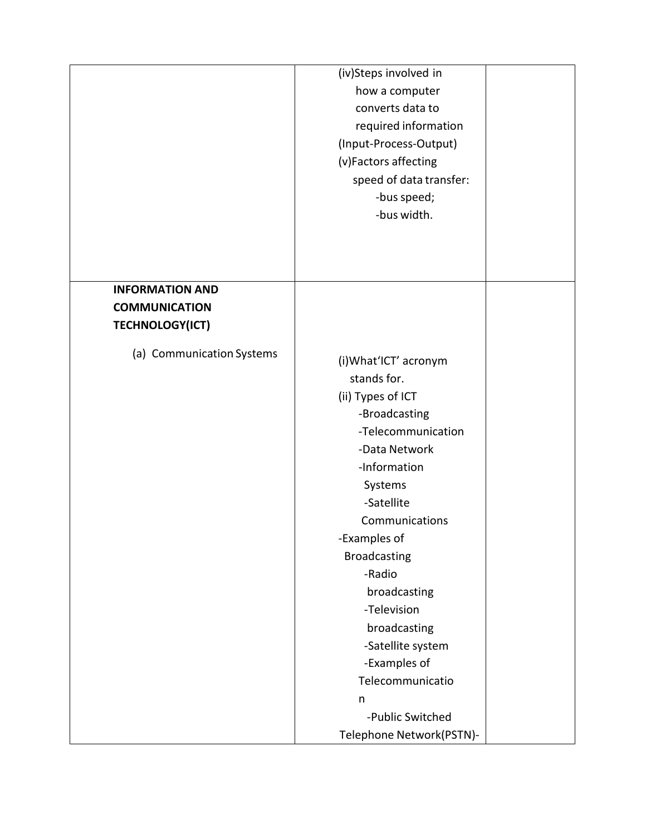|                           | (iv)Steps involved in<br>how a computer<br>converts data to<br>required information<br>(Input-Process-Output)<br>(v)Factors affecting<br>speed of data transfer:                                                                                                                                                                           |  |
|---------------------------|--------------------------------------------------------------------------------------------------------------------------------------------------------------------------------------------------------------------------------------------------------------------------------------------------------------------------------------------|--|
|                           | -bus speed;<br>-bus width.                                                                                                                                                                                                                                                                                                                 |  |
| <b>INFORMATION AND</b>    |                                                                                                                                                                                                                                                                                                                                            |  |
| <b>COMMUNICATION</b>      |                                                                                                                                                                                                                                                                                                                                            |  |
| <b>TECHNOLOGY(ICT)</b>    |                                                                                                                                                                                                                                                                                                                                            |  |
| (a) Communication Systems | (i) What'ICT' acronym<br>stands for.<br>(ii) Types of ICT<br>-Broadcasting<br>-Telecommunication<br>-Data Network<br>-Information<br>Systems<br>-Satellite<br>Communications<br>-Examples of<br><b>Broadcasting</b><br>-Radio<br>broadcasting<br>-Television<br>broadcasting<br>-Satellite system<br>-Examples of<br>Telecommunicatio<br>n |  |
|                           | -Public Switched<br>Telephone Network(PSTN)-                                                                                                                                                                                                                                                                                               |  |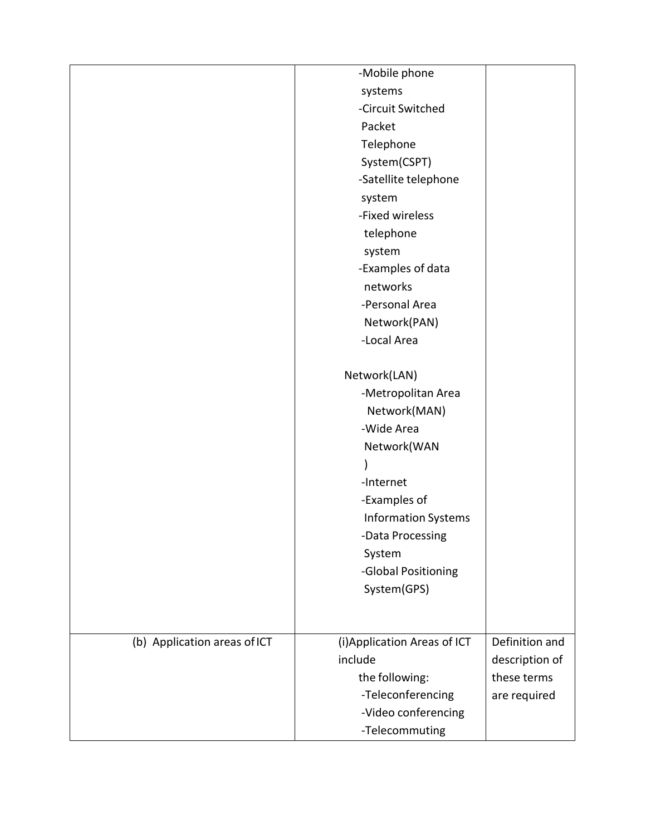|                              | -Mobile phone                |                |
|------------------------------|------------------------------|----------------|
|                              | systems                      |                |
|                              | -Circuit Switched            |                |
|                              | Packet                       |                |
|                              | Telephone                    |                |
|                              | System(CSPT)                 |                |
|                              | -Satellite telephone         |                |
|                              | system                       |                |
|                              | -Fixed wireless              |                |
|                              | telephone                    |                |
|                              | system                       |                |
|                              | -Examples of data            |                |
|                              | networks                     |                |
|                              | -Personal Area               |                |
|                              | Network(PAN)                 |                |
|                              | -Local Area                  |                |
|                              |                              |                |
|                              | Network(LAN)                 |                |
|                              | -Metropolitan Area           |                |
|                              | Network(MAN)                 |                |
|                              | -Wide Area                   |                |
|                              | Network(WAN                  |                |
|                              |                              |                |
|                              | -Internet                    |                |
|                              | -Examples of                 |                |
|                              | <b>Information Systems</b>   |                |
|                              | -Data Processing             |                |
|                              | System                       |                |
|                              | -Global Positioning          |                |
|                              | System(GPS)                  |                |
|                              |                              |                |
|                              |                              |                |
| (b) Application areas of ICT | (i) Application Areas of ICT | Definition and |
|                              | include                      | description of |
|                              | the following:               | these terms    |
|                              | -Teleconferencing            | are required   |
|                              | -Video conferencing          |                |
|                              | -Telecommuting               |                |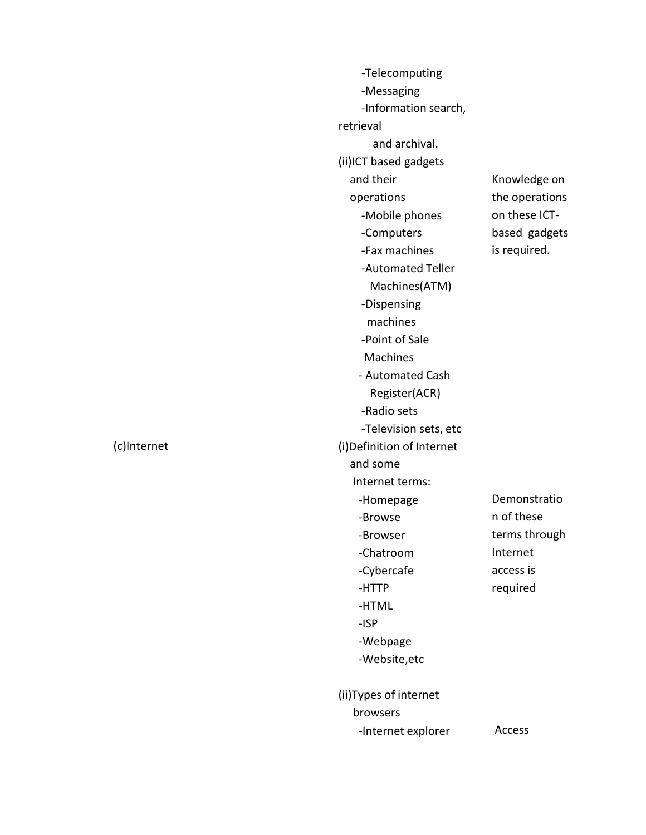|             | -Telecomputing             |                |
|-------------|----------------------------|----------------|
|             | -Messaging                 |                |
|             | -Information search,       |                |
|             | retrieval                  |                |
|             | and archival.              |                |
|             | (ii)ICT based gadgets      |                |
|             | and their                  | Knowledge on   |
|             | operations                 | the operations |
|             | -Mobile phones             | on these ICT-  |
|             | -Computers                 | based gadgets  |
|             | -Fax machines              | is required.   |
|             | -Automated Teller          |                |
|             | Machines(ATM)              |                |
|             | -Dispensing                |                |
|             | machines                   |                |
|             | -Point of Sale             |                |
|             | Machines                   |                |
|             | - Automated Cash           |                |
|             | Register(ACR)              |                |
|             | -Radio sets                |                |
|             | -Television sets, etc      |                |
| (c)Internet | (i) Definition of Internet |                |
|             | and some                   |                |
|             | Internet terms:            |                |
|             | -Homepage                  | Demonstratio   |
|             | -Browse                    | n of these     |
|             | -Browser                   | terms through  |
|             | -Chatroom                  | Internet       |
|             | -Cybercafe                 | access is      |
|             | -HTTP                      | required       |
|             | -HTML                      |                |
|             | $-ISP$                     |                |
|             | -Webpage                   |                |
|             | -Website, etc              |                |
|             |                            |                |
|             | (ii) Types of internet     |                |
|             | browsers                   |                |
|             | -Internet explorer         | Access         |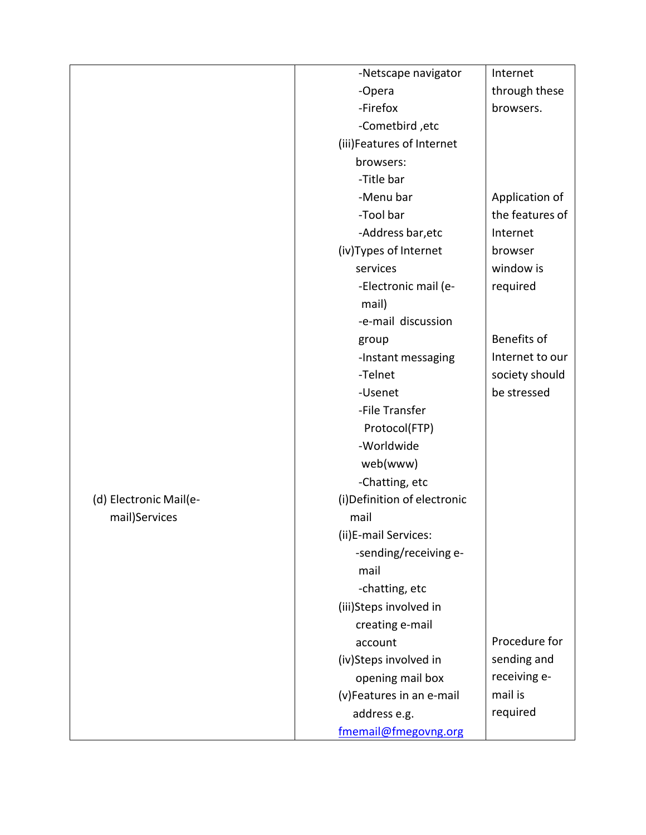|                        | -Netscape navigator          | Internet        |
|------------------------|------------------------------|-----------------|
|                        | -Opera                       | through these   |
|                        | -Firefox                     | browsers.       |
|                        | -Cometbird, etc              |                 |
|                        | (iii)Features of Internet    |                 |
|                        | browsers:                    |                 |
|                        | -Title bar                   |                 |
|                        | -Menu bar                    | Application of  |
|                        | -Tool bar                    | the features of |
|                        | -Address bar, etc            | Internet        |
|                        | (iv)Types of Internet        | browser         |
|                        | services                     | window is       |
|                        | -Electronic mail (e-         | required        |
|                        | mail)                        |                 |
|                        | -e-mail discussion           |                 |
|                        | group                        | Benefits of     |
|                        | -Instant messaging           | Internet to our |
|                        | -Telnet                      | society should  |
|                        | -Usenet                      | be stressed     |
|                        | -File Transfer               |                 |
|                        | Protocol(FTP)                |                 |
|                        | -Worldwide                   |                 |
|                        | web(www)                     |                 |
|                        | -Chatting, etc               |                 |
| (d) Electronic Mail(e- | (i) Definition of electronic |                 |
| mail)Services          | mail                         |                 |
|                        | (ii)E-mail Services:         |                 |
|                        | -sending/receiving e-        |                 |
|                        | mail                         |                 |
|                        | -chatting, etc               |                 |
|                        | (iii)Steps involved in       |                 |
|                        | creating e-mail              |                 |
|                        | account                      | Procedure for   |
|                        | (iv)Steps involved in        | sending and     |
|                        | opening mail box             | receiving e-    |
|                        | (v)Features in an e-mail     | mail is         |
|                        | address e.g.                 | required        |
|                        | fmemail@fmegovng.org         |                 |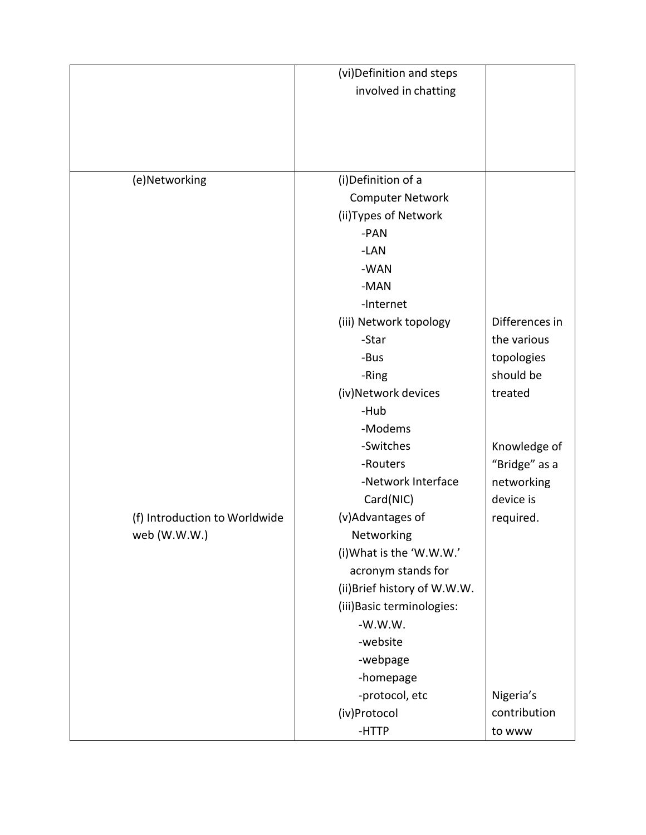|                               | (vi) Definition and steps    |                |
|-------------------------------|------------------------------|----------------|
|                               |                              |                |
|                               | involved in chatting         |                |
|                               |                              |                |
|                               |                              |                |
|                               |                              |                |
| (e)Networking                 | (i) Definition of a          |                |
|                               | <b>Computer Network</b>      |                |
|                               | (ii) Types of Network        |                |
|                               | -PAN                         |                |
|                               | -LAN                         |                |
|                               | -WAN                         |                |
|                               | -MAN                         |                |
|                               | -Internet                    |                |
|                               | (iii) Network topology       | Differences in |
|                               | -Star                        | the various    |
|                               | -Bus                         | topologies     |
|                               | -Ring                        | should be      |
|                               | (iv)Network devices          | treated        |
|                               | -Hub                         |                |
|                               | -Modems                      |                |
|                               | -Switches                    | Knowledge of   |
|                               | -Routers                     | "Bridge" as a  |
|                               | -Network Interface           | networking     |
|                               | Card(NIC)                    | device is      |
| (f) Introduction to Worldwide | (v)Advantages of             | required.      |
| web (W.W.W.)                  | Networking                   |                |
|                               | (i) What is the 'W.W.W.'     |                |
|                               | acronym stands for           |                |
|                               | (ii) Brief history of W.W.W. |                |
|                               | (iii) Basic terminologies:   |                |
|                               | $-W.W.W.$                    |                |
|                               | -website                     |                |
|                               | -webpage                     |                |
|                               | -homepage                    |                |
|                               | -protocol, etc               | Nigeria's      |
|                               | (iv)Protocol                 | contribution   |
|                               | -HTTP                        | to www         |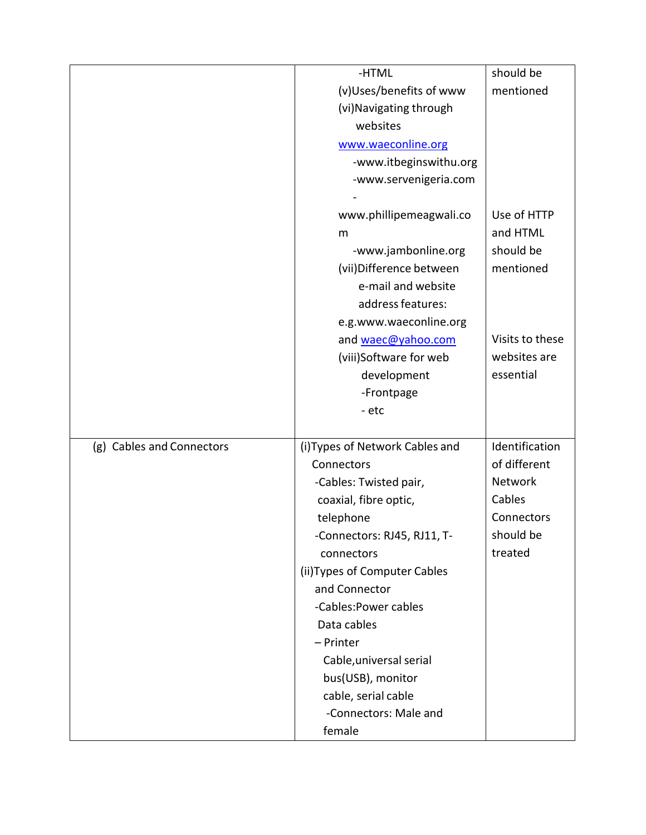|                           | -HTML                           | should be       |
|---------------------------|---------------------------------|-----------------|
|                           | (v)Uses/benefits of www         | mentioned       |
|                           | (vi) Navigating through         |                 |
|                           | websites                        |                 |
|                           | www.waeconline.org              |                 |
|                           | -www.itbeginswithu.org          |                 |
|                           | -www.servenigeria.com           |                 |
|                           |                                 |                 |
|                           | www.phillipemeagwali.co         | Use of HTTP     |
|                           | m                               | and HTML        |
|                           | -www.jambonline.org             | should be       |
|                           | (vii) Difference between        | mentioned       |
|                           | e-mail and website              |                 |
|                           | address features:               |                 |
|                           | e.g.www.waeconline.org          |                 |
|                           | and waec@yahoo.com              | Visits to these |
|                           | (viii)Software for web          | websites are    |
|                           | development                     | essential       |
|                           | -Frontpage                      |                 |
|                           | - etc                           |                 |
|                           |                                 |                 |
| (g) Cables and Connectors | (i) Types of Network Cables and | Identification  |
|                           | Connectors                      | of different    |
|                           | -Cables: Twisted pair,          | Network         |
|                           | coaxial, fibre optic,           | Cables          |
|                           | telephone                       | Connectors      |
|                           | -Connectors: RJ45, RJ11, T-     | should be       |
|                           | connectors                      | treated         |
|                           | (ii) Types of Computer Cables   |                 |
|                           | and Connector                   |                 |
|                           | -Cables: Power cables           |                 |
|                           | Data cables                     |                 |
|                           | - Printer                       |                 |
|                           | Cable, universal serial         |                 |
|                           | bus(USB), monitor               |                 |
|                           | cable, serial cable             |                 |
|                           | -Connectors: Male and           |                 |
|                           | female                          |                 |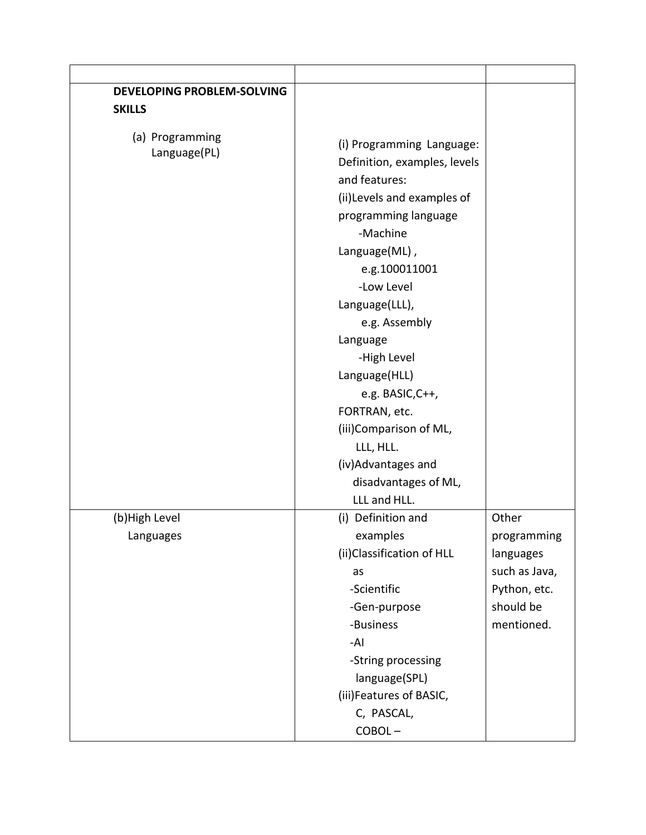| <b>DEVELOPING PROBLEM-SOLVING</b> |                                                                                                                                                                                                                                  |                                                                                               |
|-----------------------------------|----------------------------------------------------------------------------------------------------------------------------------------------------------------------------------------------------------------------------------|-----------------------------------------------------------------------------------------------|
| <b>SKILLS</b>                     |                                                                                                                                                                                                                                  |                                                                                               |
| (a) Programming<br>Language(PL)   | (i) Programming Language:<br>Definition, examples, levels<br>and features:<br>(ii) Levels and examples of<br>programming language<br>-Machine<br>Language(ML),<br>e.g.100011001<br>-Low Level<br>Language(LLL),<br>e.g. Assembly |                                                                                               |
|                                   | Language<br>-High Level<br>Language(HLL)<br>e.g. BASIC, C++,<br>FORTRAN, etc.<br>(iii)Comparison of ML,<br>LLL, HLL.<br>(iv) Advantages and<br>disadvantages of ML,<br>LLL and HLL.                                              |                                                                                               |
| (b) High Level<br>Languages       | (i) Definition and<br>examples<br>(ii) Classification of HLL<br>as<br>-Scientific<br>-Gen-purpose<br>-Business<br>-AI<br>-String processing<br>language(SPL)<br>(iii)Features of BASIC,<br>C, PASCAL,<br>COBOL-                  | Other<br>programming<br>languages<br>such as Java,<br>Python, etc.<br>should be<br>mentioned. |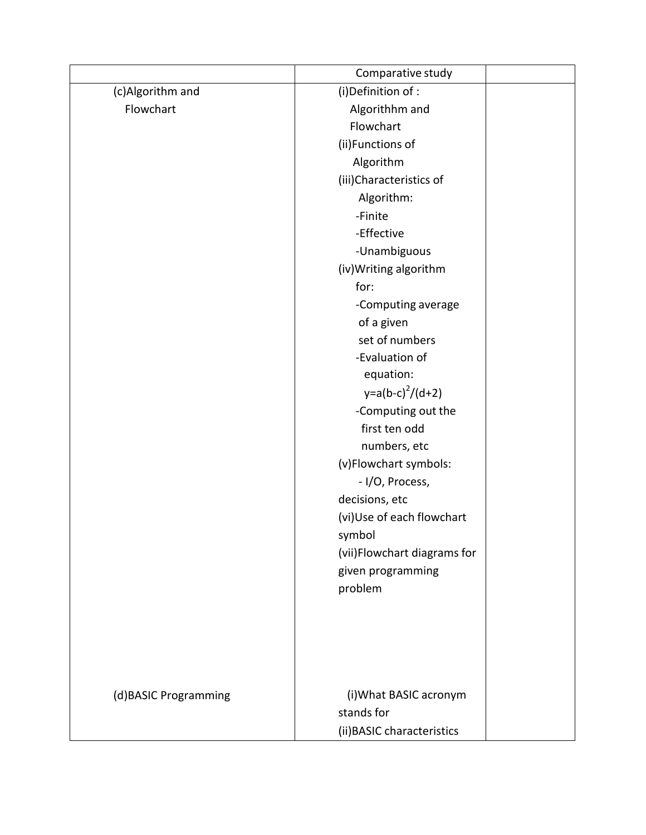|                      | Comparative study           |  |
|----------------------|-----------------------------|--|
| (c)Algorithm and     | (i) Definition of :         |  |
| Flowchart            | Algorithhm and              |  |
|                      | Flowchart                   |  |
|                      | (ii)Functions of            |  |
|                      | Algorithm                   |  |
|                      | (iii)Characteristics of     |  |
|                      | Algorithm:                  |  |
|                      | -Finite                     |  |
|                      | -Effective                  |  |
|                      | -Unambiguous                |  |
|                      | (iv) Writing algorithm      |  |
|                      | for:                        |  |
|                      | -Computing average          |  |
|                      | of a given                  |  |
|                      | set of numbers              |  |
|                      | -Evaluation of              |  |
|                      | equation:                   |  |
|                      | $y=a(b-c)^{2}/(d+2)$        |  |
|                      | -Computing out the          |  |
|                      | first ten odd               |  |
|                      | numbers, etc                |  |
|                      | (v)Flowchart symbols:       |  |
|                      | - I/O, Process,             |  |
|                      | decisions, etc              |  |
|                      | (vi)Use of each flowchart   |  |
|                      | symbol                      |  |
|                      | (vii)Flowchart diagrams for |  |
|                      | given programming           |  |
|                      | problem                     |  |
|                      |                             |  |
|                      |                             |  |
|                      |                             |  |
|                      |                             |  |
|                      |                             |  |
| (d)BASIC Programming | (i) What BASIC acronym      |  |
|                      | stands for                  |  |
|                      | (ii) BASIC characteristics  |  |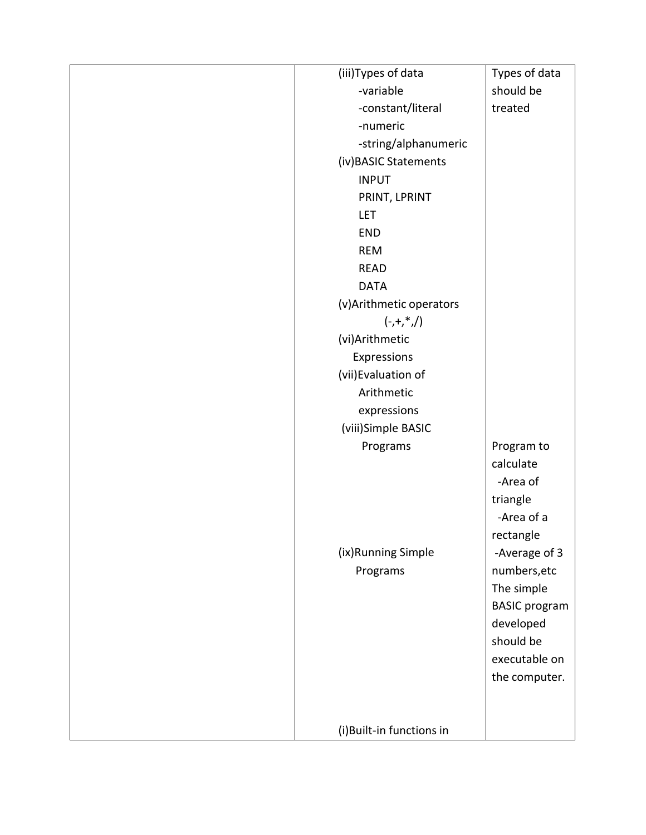| (iii) Types of data      | Types of data        |
|--------------------------|----------------------|
| -variable                | should be            |
| -constant/literal        | treated              |
| -numeric                 |                      |
| -string/alphanumeric     |                      |
| (iv) BASIC Statements    |                      |
| <b>INPUT</b>             |                      |
| PRINT, LPRINT            |                      |
| <b>LET</b>               |                      |
| <b>END</b>               |                      |
| <b>REM</b>               |                      |
| <b>READ</b>              |                      |
| <b>DATA</b>              |                      |
| (v) Arithmetic operators |                      |
| $(-,+,*,/)$              |                      |
| (vi)Arithmetic           |                      |
| Expressions              |                      |
| (vii) Evaluation of      |                      |
| Arithmetic               |                      |
| expressions              |                      |
| (viii)Simple BASIC       |                      |
| Programs                 | Program to           |
|                          | calculate            |
|                          | -Area of             |
|                          | triangle             |
|                          | -Area of a           |
|                          | rectangle            |
| (ix)Running Simple       | -Average of 3        |
| Programs                 | numbers, etc         |
|                          | The simple           |
|                          | <b>BASIC</b> program |
|                          | developed            |
|                          | should be            |
|                          | executable on        |
|                          | the computer.        |
|                          |                      |
|                          |                      |
| (i)Built-in functions in |                      |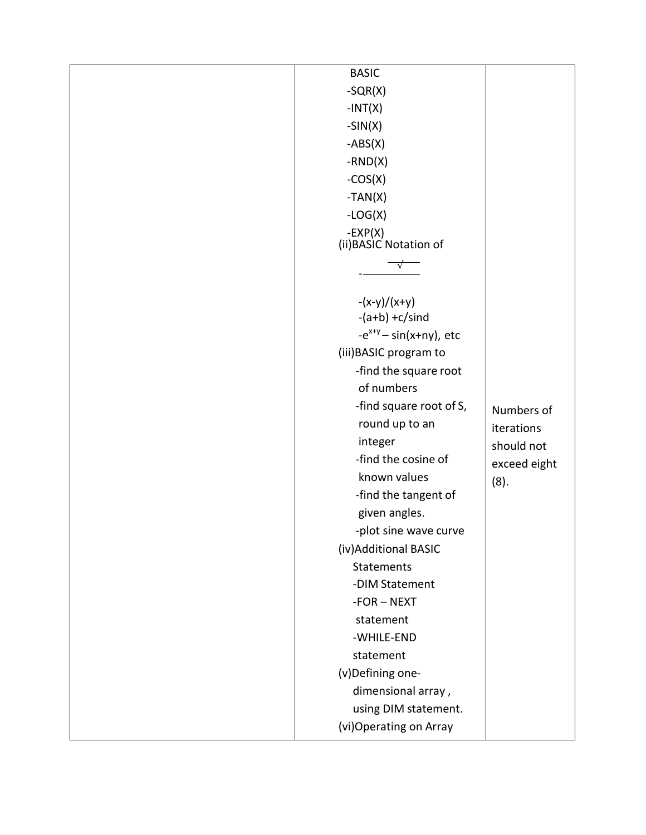| <b>BASIC</b>                |              |
|-----------------------------|--------------|
| $-SQR(X)$                   |              |
| $-INT(X)$                   |              |
| $-SIN(X)$                   |              |
| $-ABS(X)$                   |              |
| $-RND(X)$                   |              |
| $-COS(X)$                   |              |
| $-TAN(X)$                   |              |
| $-LOG(X)$                   |              |
| $-EXP(X)$                   |              |
| (ii) BASIC Notation of      |              |
|                             |              |
|                             |              |
| $-(x-y)/(x+y)$              |              |
| $-(a+b) + c/s$ ind          |              |
| $-e^{x+y}$ - sin(x+ny), etc |              |
| (iii) BASIC program to      |              |
| -find the square root       |              |
| of numbers                  |              |
| -find square root of S,     | Numbers of   |
| round up to an              | iterations   |
| integer                     | should not   |
| -find the cosine of         | exceed eight |
| known values                | (8).         |
| -find the tangent of        |              |
| given angles.               |              |
| -plot sine wave curve       |              |
| (iv) Additional BASIC       |              |
| <b>Statements</b>           |              |
| -DIM Statement              |              |
| $-FOR - NEXT$               |              |
| statement                   |              |
| -WHILE-END                  |              |
| statement                   |              |
| (v)Defining one-            |              |
| dimensional array,          |              |
| using DIM statement.        |              |
| (vi)Operating on Array      |              |
|                             |              |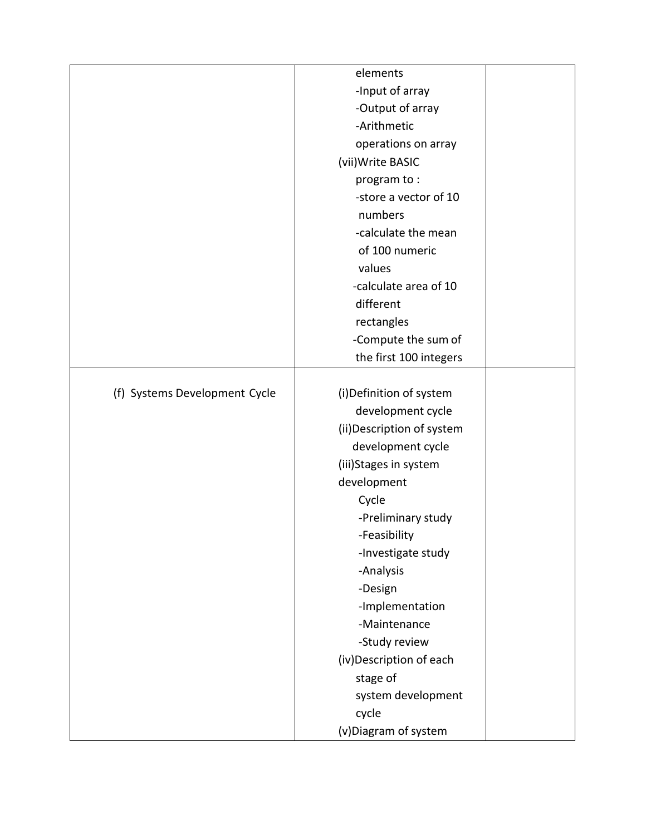|                               | elements                   |  |
|-------------------------------|----------------------------|--|
|                               | -Input of array            |  |
|                               | -Output of array           |  |
|                               | -Arithmetic                |  |
|                               | operations on array        |  |
|                               | (vii) Write BASIC          |  |
|                               | program to:                |  |
|                               | -store a vector of 10      |  |
|                               | numbers                    |  |
|                               | -calculate the mean        |  |
|                               | of 100 numeric             |  |
|                               | values                     |  |
|                               | -calculate area of 10      |  |
|                               | different                  |  |
|                               | rectangles                 |  |
|                               | -Compute the sum of        |  |
|                               | the first 100 integers     |  |
|                               |                            |  |
| (f) Systems Development Cycle | (i) Definition of system   |  |
|                               | development cycle          |  |
|                               | (ii) Description of system |  |
|                               | development cycle          |  |
|                               | (iii)Stages in system      |  |
|                               | development                |  |
|                               | Cycle                      |  |
|                               | -Preliminary study         |  |
|                               | -Feasibility               |  |
|                               | -Investigate study         |  |
|                               | -Analysis                  |  |
|                               | -Design                    |  |
|                               | -Implementation            |  |
|                               | -Maintenance               |  |
|                               | -Study review              |  |
|                               | (iv) Description of each   |  |
|                               | stage of                   |  |
|                               | system development         |  |
|                               | cycle                      |  |
|                               | (v) Diagram of system      |  |
|                               |                            |  |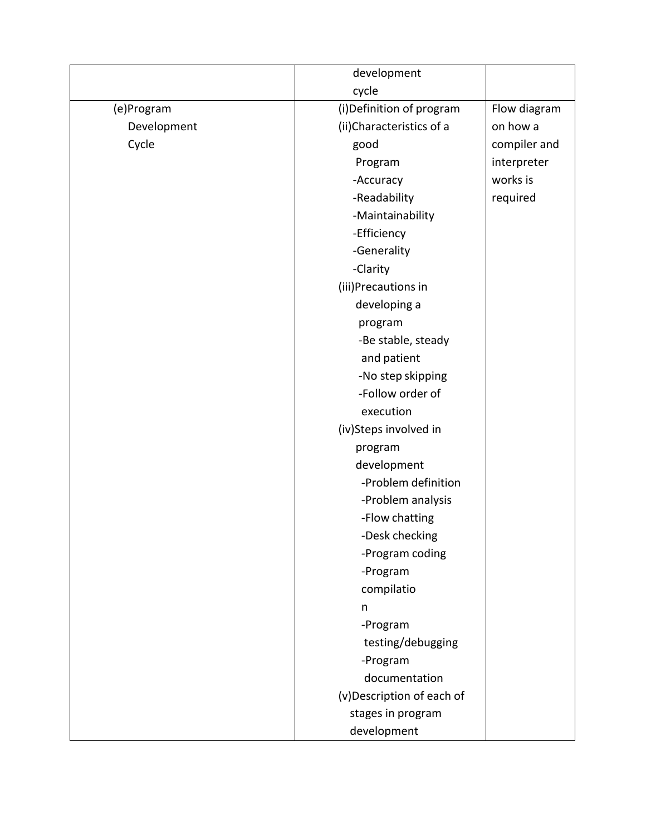|             | development               |              |
|-------------|---------------------------|--------------|
|             | cycle                     |              |
| (e)Program  | (i) Definition of program | Flow diagram |
| Development | (ii) Characteristics of a | on how a     |
| Cycle       | good                      | compiler and |
|             | Program                   | interpreter  |
|             | -Accuracy                 | works is     |
|             | -Readability              | required     |
|             | -Maintainability          |              |
|             | -Efficiency               |              |
|             | -Generality               |              |
|             | -Clarity                  |              |
|             | (iii)Precautions in       |              |
|             | developing a              |              |
|             | program                   |              |
|             | -Be stable, steady        |              |
|             | and patient               |              |
|             | -No step skipping         |              |
|             | -Follow order of          |              |
|             | execution                 |              |
|             | (iv)Steps involved in     |              |
|             | program                   |              |
|             | development               |              |
|             | -Problem definition       |              |
|             | -Problem analysis         |              |
|             | -Flow chatting            |              |
|             | -Desk checking            |              |
|             | -Program coding           |              |
|             | -Program                  |              |
|             | compilatio                |              |
|             | n                         |              |
|             | -Program                  |              |
|             | testing/debugging         |              |
|             | -Program                  |              |
|             | documentation             |              |
|             | (v)Description of each of |              |
|             | stages in program         |              |
|             | development               |              |